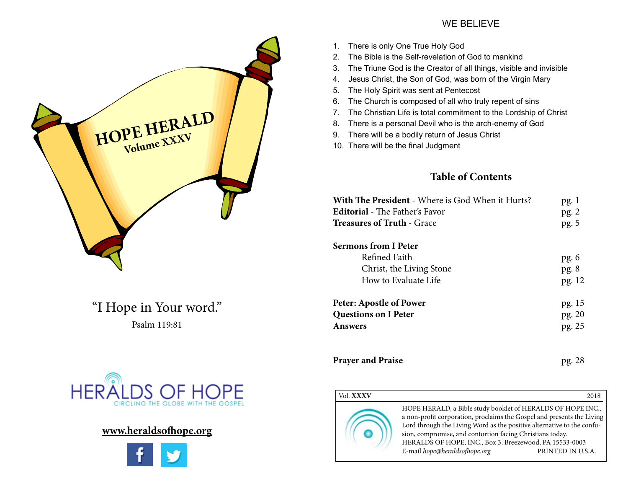# **HOPE HERALD**

"I Hope in Your word." Psalm 119:81



### **www.heraldsofhope.org**



#### WE BELIEVE

- 1. There is only One True Holy God
- 2. The Bible is the Self-revelation of God to mankind
- 3. The Triune God is the Creator of all things, visible and invisible
- 4. Jesus Christ, the Son of God, was born of the Virgin Mary
- 5. The Holy Spirit was sent at Pentecost
- 6. The Church is composed of all who truly repent of sins
- 7. The Christian Life is total commitment to the Lordship of Christ
- 8. There is a personal Devil who is the arch-enemy of God
- 9. There will be a bodily return of Jesus Christ
- 10. There will be the final Judgment

#### **Table of Contents**

| <b>With The President</b> - Where is God When it Hurts?<br><b>Editorial</b> - The Father's Favor<br><b>Treasures of Truth - Grace</b> | pg.1<br>pg.2<br>pg. 5 |
|---------------------------------------------------------------------------------------------------------------------------------------|-----------------------|
| Sermons from I Peter                                                                                                                  |                       |
| Refined Faith                                                                                                                         | pg.6                  |
| Christ, the Living Stone                                                                                                              | pg.8                  |
| How to Evaluate Life                                                                                                                  | pg. 12                |
| <b>Peter: Apostle of Power</b>                                                                                                        | pg. 15                |
| <b>Questions on I Peter</b>                                                                                                           | pg. 20                |
| <b>Answers</b>                                                                                                                        | pg. 25                |
|                                                                                                                                       |                       |
|                                                                                                                                       |                       |

**Prayer and Praise pg. 28** 

#### Vol. **XXXV** 2018 HOPE HERALD, a Bible study booklet of HERALDS OF HOPE INC., a non-profit corporation, proclaims the Gospel and presents the Living Lord through the Living Word as the positive alternative to the confusion, compromise, and contortion facing Christians today. HERALDS OF HOPE, INC., Box 3, Breezewood, PA 15533-0003 E-mail *hope@heraldsofhope.org* PRINTED IN U.S.A.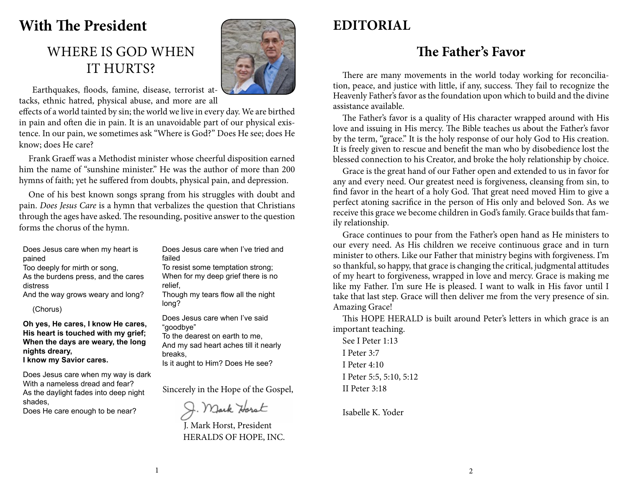## **With The President**

## WHERE IS GOD WHEN IT HURTS?



 Earthquakes, floods, famine, disease, terrorist attacks, ethnic hatred, physical abuse, and more are all

effects of a world tainted by sin; the world we live in every day. We are birthed in pain and often die in pain. It is an unavoidable part of our physical existence. In our pain, we sometimes ask "Where is God?" Does He see; does He know; does He care?

Frank Graeff was a Methodist minister whose cheerful disposition earned him the name of "sunshine minister." He was the author of more than 200 hymns of faith; yet he suffered from doubts, physical pain, and depression.

One of his best known songs sprang from his struggles with doubt and pain. *Does Jesus Care* is a hymn that verbalizes the question that Christians through the ages have asked. The resounding, positive answer to the question forms the chorus of the hymn.

Does Jesus care when my heart is pained Too deeply for mirth or song, As the burdens press, and the cares distress And the way grows weary and long?

(Chorus)

**Oh yes, He cares, I know He cares, His heart is touched with my grief; When the days are weary, the long nights dreary,**

**I know my Savior cares.**

Does Jesus care when my way is dark With a nameless dread and fear? As the daylight fades into deep night shades,

Does He care enough to be near?

Does Jesus care when I've tried and failed

To resist some temptation strong; When for my deep grief there is no relief,

Though my tears flow all the night long?

Does Jesus care when I've said "goodbye" To the dearest on earth to me, And my sad heart aches till it nearly breaks, Is it aught to Him? Does He see?

Sincerely in the Hope of the Gospel,

J. Mark Horst

J. Mark Horst, President HERALDS OF HOPE, INC.

## **EDITORIAL**

## **The Father's Favor**

There are many movements in the world today working for reconciliation, peace, and justice with little, if any, success. They fail to recognize the Heavenly Father's favor as the foundation upon which to build and the divine assistance available.

The Father's favor is a quality of His character wrapped around with His love and issuing in His mercy. The Bible teaches us about the Father's favor by the term, "grace." It is the holy response of our holy God to His creation. It is freely given to rescue and benefit the man who by disobedience lost the blessed connection to his Creator, and broke the holy relationship by choice.

Grace is the great hand of our Father open and extended to us in favor for any and every need. Our greatest need is forgiveness, cleansing from sin, to find favor in the heart of a holy God. That great need moved Him to give a perfect atoning sacrifice in the person of His only and beloved Son. As we receive this grace we become children in God's family. Grace builds that family relationship.

Grace continues to pour from the Father's open hand as He ministers to our every need. As His children we receive continuous grace and in turn minister to others. Like our Father that ministry begins with forgiveness. I'm so thankful, so happy, that grace is changing the critical, judgmental attitudes of my heart to forgiveness, wrapped in love and mercy. Grace is making me like my Father. I'm sure He is pleased. I want to walk in His favor until I take that last step. Grace will then deliver me from the very presence of sin. Amazing Grace!

This HOPE HERALD is built around Peter's letters in which grace is an important teaching.

See I Peter 1:13 I Peter 3:7 I Peter 4:10 I Peter 5:5, 5:10, 5:12 II Peter 3:18

Isabelle K. Yoder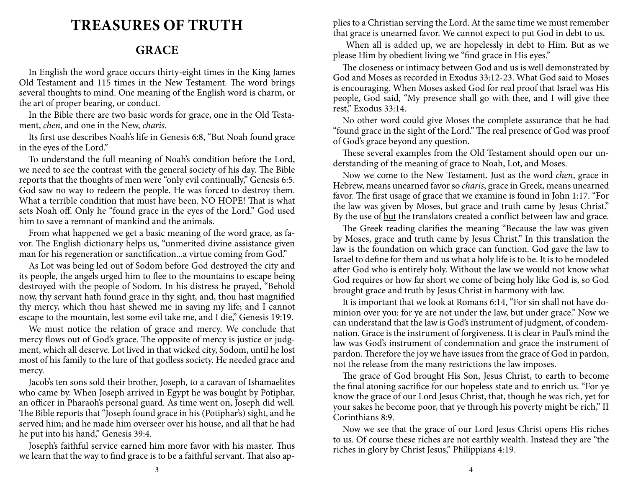## **TREASURES OF TRUTH**

### **GRACE**

In English the word grace occurs thirty-eight times in the King James Old Testament and 115 times in the New Testament. The word brings several thoughts to mind. One meaning of the English word is charm, or the art of proper bearing, or conduct.

In the Bible there are two basic words for grace, one in the Old Testament, *chen*, and one in the New, *charis*.

Its first use describes Noah's life in Genesis 6:8, "But Noah found grace in the eyes of the Lord."

To understand the full meaning of Noah's condition before the Lord, we need to see the contrast with the general society of his day. The Bible reports that the thoughts of men were "only evil continually," Genesis 6:5. God saw no way to redeem the people. He was forced to destroy them. What a terrible condition that must have been. NO HOPE! That is what sets Noah off. Only he "found grace in the eyes of the Lord." God used him to save a remnant of mankind and the animals.

From what happened we get a basic meaning of the word grace, as favor. The English dictionary helps us, "unmerited divine assistance given man for his regeneration or sanctification...a virtue coming from God."

As Lot was being led out of Sodom before God destroyed the city and its people, the angels urged him to flee to the mountains to escape being destroyed with the people of Sodom. In his distress he prayed, "Behold now, thy servant hath found grace in thy sight, and, thou hast magnified thy mercy, which thou hast shewed me in saving my life; and I cannot escape to the mountain, lest some evil take me, and I die," Genesis 19:19.

We must notice the relation of grace and mercy. We conclude that mercy flows out of God's grace. The opposite of mercy is justice or judgment, which all deserve. Lot lived in that wicked city, Sodom, until he lost most of his family to the lure of that godless society. He needed grace and mercy.

Jacob's ten sons sold their brother, Joseph, to a caravan of Ishamaelites who came by. When Joseph arrived in Egypt he was bought by Potiphar, an officer in Pharaoh's personal guard. As time went on, Joseph did well. The Bible reports that "Joseph found grace in his (Potiphar's) sight, and he served him; and he made him overseer over his house, and all that he had he put into his hand," Genesis 39:4.

Joseph's faithful service earned him more favor with his master. Thus we learn that the way to find grace is to be a faithful servant. That also applies to a Christian serving the Lord. At the same time we must remember that grace is unearned favor. We cannot expect to put God in debt to us.

 When all is added up, we are hopelessly in debt to Him. But as we please Him by obedient living we "find grace in His eyes."

The closeness or intimacy between God and us is well demonstrated by God and Moses as recorded in Exodus 33:12-23. What God said to Moses is encouraging. When Moses asked God for real proof that Israel was His people, God said, "My presence shall go with thee, and I will give thee rest," Exodus 33:14.

No other word could give Moses the complete assurance that he had "found grace in the sight of the Lord." The real presence of God was proof of God's grace beyond any question.

These several examples from the Old Testament should open our understanding of the meaning of grace to Noah, Lot, and Moses.

Now we come to the New Testament. Just as the word *chen*, grace in Hebrew, means unearned favor so *charis*, grace in Greek, means unearned favor. The first usage of grace that we examine is found in John 1:17. "For the law was given by Moses, but grace and truth came by Jesus Christ." By the use of but the translators created a conflict between law and grace.

The Greek reading clarifies the meaning "Because the law was given by Moses, grace and truth came by Jesus Christ." In this translation the law is the foundation on which grace can function. God gave the law to Israel to define for them and us what a holy life is to be. It is to be modeled after God who is entirely holy. Without the law we would not know what God requires or how far short we come of being holy like God is, so God brought grace and truth by Jesus Christ in harmony with law.

It is important that we look at Romans 6:14, "For sin shall not have dominion over you: for ye are not under the law, but under grace." Now we can understand that the law is God's instrument of judgment, of condemnation. Grace is the instrument of forgiveness. It is clear in Paul's mind the law was God's instrument of condemnation and grace the instrument of pardon. Therefore the joy we have issues from the grace of God in pardon, not the release from the many restrictions the law imposes.

The grace of God brought His Son, Jesus Christ, to earth to become the final atoning sacrifice for our hopeless state and to enrich us. "For ye know the grace of our Lord Jesus Christ, that, though he was rich, yet for your sakes he become poor, that ye through his poverty might be rich," II Corinthians 8:9.

Now we see that the grace of our Lord Jesus Christ opens His riches to us. Of course these riches are not earthly wealth. Instead they are "the riches in glory by Christ Jesus," Philippians 4:19.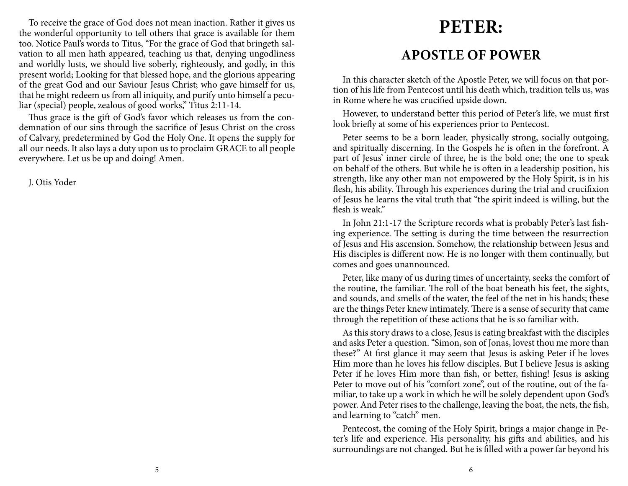To receive the grace of God does not mean inaction. Rather it gives us the wonderful opportunity to tell others that grace is available for them too. Notice Paul's words to Titus, "For the grace of God that bringeth salvation to all men hath appeared, teaching us that, denying ungodliness and worldly lusts, we should live soberly, righteously, and godly, in this present world; Looking for that blessed hope, and the glorious appearing of the great God and our Saviour Jesus Christ; who gave himself for us, that he might redeem us from all iniquity, and purify unto himself a peculiar (special) people, zealous of good works," Titus 2:11-14.

Thus grace is the gift of God's favor which releases us from the condemnation of our sins through the sacrifice of Jesus Christ on the cross of Calvary, predetermined by God the Holy One. It opens the supply for all our needs. It also lays a duty upon us to proclaim GRACE to all people everywhere. Let us be up and doing! Amen.

J. Otis Yoder

# **PETER:**

## **APOSTLE OF POWER**

In this character sketch of the Apostle Peter, we will focus on that portion of his life from Pentecost until his death which, tradition tells us, was in Rome where he was crucified upside down.

However, to understand better this period of Peter's life, we must first look briefly at some of his experiences prior to Pentecost.

Peter seems to be a born leader, physically strong, socially outgoing, and spiritually discerning. In the Gospels he is often in the forefront. A part of Jesus' inner circle of three, he is the bold one; the one to speak on behalf of the others. But while he is often in a leadership position, his strength, like any other man not empowered by the Holy Spirit, is in his flesh, his ability. Through his experiences during the trial and crucifixion of Jesus he learns the vital truth that "the spirit indeed is willing, but the flesh is weak."

In John 21:1-17 the Scripture records what is probably Peter's last fishing experience. The setting is during the time between the resurrection of Jesus and His ascension. Somehow, the relationship between Jesus and His disciples is different now. He is no longer with them continually, but comes and goes unannounced.

Peter, like many of us during times of uncertainty, seeks the comfort of the routine, the familiar. The roll of the boat beneath his feet, the sights, and sounds, and smells of the water, the feel of the net in his hands; these are the things Peter knew intimately. There is a sense of security that came through the repetition of these actions that he is so familiar with.

As this story draws to a close, Jesus is eating breakfast with the disciples and asks Peter a question. "Simon, son of Jonas, lovest thou me more than these?" At first glance it may seem that Jesus is asking Peter if he loves Him more than he loves his fellow disciples. But I believe Jesus is asking Peter if he loves Him more than fish, or better, fishing! Jesus is asking Peter to move out of his "comfort zone", out of the routine, out of the familiar, to take up a work in which he will be solely dependent upon God's power. And Peter rises to the challenge, leaving the boat, the nets, the fish, and learning to "catch" men.

Pentecost, the coming of the Holy Spirit, brings a major change in Peter's life and experience. His personality, his gifts and abilities, and his surroundings are not changed. But he is filled with a power far beyond his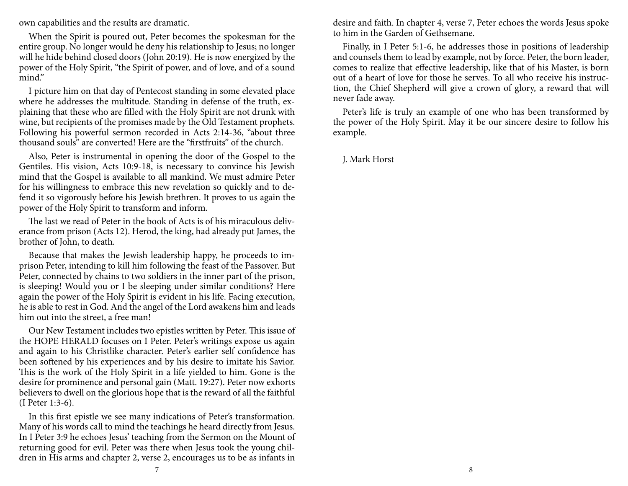own capabilities and the results are dramatic.

When the Spirit is poured out, Peter becomes the spokesman for the entire group. No longer would he deny his relationship to Jesus; no longer will he hide behind closed doors (John 20:19). He is now energized by the power of the Holy Spirit, "the Spirit of power, and of love, and of a sound mind."

I picture him on that day of Pentecost standing in some elevated place where he addresses the multitude. Standing in defense of the truth, explaining that these who are filled with the Holy Spirit are not drunk with wine, but recipients of the promises made by the Old Testament prophets. Following his powerful sermon recorded in Acts 2:14-36, "about three thousand souls" are converted! Here are the "firstfruits" of the church.

Also, Peter is instrumental in opening the door of the Gospel to the Gentiles. His vision, Acts 10:9-18, is necessary to convince his Jewish mind that the Gospel is available to all mankind. We must admire Peter for his willingness to embrace this new revelation so quickly and to defend it so vigorously before his Jewish brethren. It proves to us again the power of the Holy Spirit to transform and inform.

The last we read of Peter in the book of Acts is of his miraculous deliverance from prison (Acts 12). Herod, the king, had already put James, the brother of John, to death.

Because that makes the Jewish leadership happy, he proceeds to imprison Peter, intending to kill him following the feast of the Passover. But Peter, connected by chains to two soldiers in the inner part of the prison, is sleeping! Would you or I be sleeping under similar conditions? Here again the power of the Holy Spirit is evident in his life. Facing execution, he is able to rest in God. And the angel of the Lord awakens him and leads him out into the street, a free man!

Our New Testament includes two epistles written by Peter. This issue of the HOPE HERALD focuses on I Peter. Peter's writings expose us again and again to his Christlike character. Peter's earlier self confidence has been softened by his experiences and by his desire to imitate his Savior. This is the work of the Holy Spirit in a life yielded to him. Gone is the desire for prominence and personal gain (Matt. 19:27). Peter now exhorts believers to dwell on the glorious hope that is the reward of all the faithful (I Peter 1:3-6).

In this first epistle we see many indications of Peter's transformation. Many of his words call to mind the teachings he heard directly from Jesus. In I Peter 3:9 he echoes Jesus' teaching from the Sermon on the Mount of returning good for evil. Peter was there when Jesus took the young children in His arms and chapter 2, verse 2, encourages us to be as infants in

desire and faith. In chapter 4, verse 7, Peter echoes the words Jesus spoke to him in the Garden of Gethsemane.

Finally, in I Peter 5:1-6, he addresses those in positions of leadership and counsels them to lead by example, not by force. Peter, the born leader, comes to realize that effective leadership, like that of his Master, is born out of a heart of love for those he serves. To all who receive his instruction, the Chief Shepherd will give a crown of glory, a reward that will never fade away.

Peter's life is truly an example of one who has been transformed by the power of the Holy Spirit. May it be our sincere desire to follow his example.

J. Mark Horst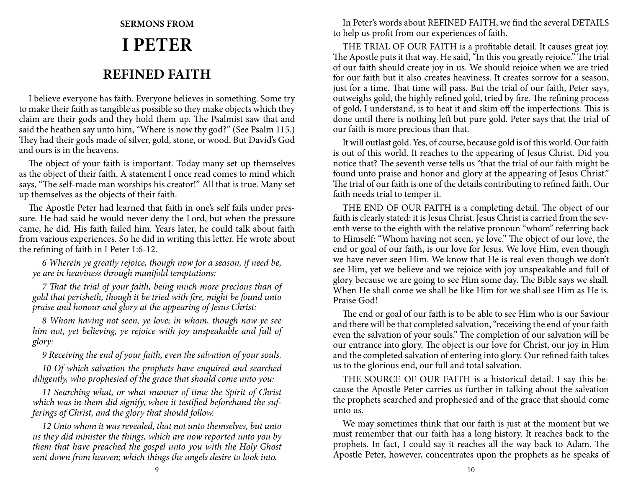# **SERMONS FROM I PETER REFINED FAITH**

I believe everyone has faith. Everyone believes in something. Some try to make their faith as tangible as possible so they make objects which they claim are their gods and they hold them up. The Psalmist saw that and said the heathen say unto him, "Where is now thy god?" (See Psalm 115.) They had their gods made of silver, gold, stone, or wood. But David's God and ours is in the heavens.

The object of your faith is important. Today many set up themselves as the object of their faith. A statement I once read comes to mind which says, "The self-made man worships his creator!" All that is true. Many set up themselves as the objects of their faith.

The Apostle Peter had learned that faith in one's self fails under pressure. He had said he would never deny the Lord, but when the pressure came, he did. His faith failed him. Years later, he could talk about faith from various experiences. So he did in writing this letter. He wrote about the refining of faith in I Peter 1:6-12.

*6 Wherein ye greatly rejoice, though now for a season, if need be, ye are in heaviness through manifold temptations:*

*7 That the trial of your faith, being much more precious than of gold that perisheth, though it be tried with fire, might be found unto praise and honour and glory at the appearing of Jesus Christ:*

*8 Whom having not seen, ye love; in whom, though now ye see him not, yet believing, ye rejoice with joy unspeakable and full of glory:*

*9 Receiving the end of your faith, even the salvation of your souls.*

*10 Of which salvation the prophets have enquired and searched diligently, who prophesied of the grace that should come unto you:* 

*11 Searching what, or what manner of time the Spirit of Christ which was in them did signify, when it testified beforehand the sufferings of Christ, and the glory that should follow.*

*12 Unto whom it was revealed, that not unto themselves, but unto us they did minister the things, which are now reported unto you by them that have preached the gospel unto you with the Holy Ghost sent down from heaven; which things the angels desire to look into.*

In Peter's words about REFINED FAITH, we find the several DETAILS to help us profit from our experiences of faith.

THE TRIAL OF OUR FAITH is a profitable detail. It causes great joy. The Apostle puts it that way. He said, "In this you greatly rejoice." The trial of our faith should create joy in us. We should rejoice when we are tried for our faith but it also creates heaviness. It creates sorrow for a season, just for a time. That time will pass. But the trial of our faith, Peter says, outweighs gold, the highly refined gold, tried by fire. The refining process of gold, I understand, is to heat it and skim off the imperfections. This is done until there is nothing left but pure gold. Peter says that the trial of our faith is more precious than that.

It will outlast gold. Yes, of course, because gold is of this world. Our faith is out of this world. It reaches to the appearing of Jesus Christ. Did you notice that? The seventh verse tells us "that the trial of our faith might be found unto praise and honor and glory at the appearing of Jesus Christ." The trial of our faith is one of the details contributing to refined faith. Our faith needs trial to temper it.

THE END OF OUR FAITH is a completing detail. The object of our faith is clearly stated: it is Jesus Christ. Jesus Christ is carried from the seventh verse to the eighth with the relative pronoun "whom" referring back to Himself: "Whom having not seen, ye love." The object of our love, the end or goal of our faith, is our love for Jesus. We love Him, even though we have never seen Him. We know that He is real even though we don't see Him, yet we believe and we rejoice with joy unspeakable and full of glory because we are going to see Him some day. The Bible says we shall. When He shall come we shall be like Him for we shall see Him as He is. Praise God!

The end or goal of our faith is to be able to see Him who is our Saviour and there will be that completed salvation, "receiving the end of your faith even the salvation of your souls." The completion of our salvation will be our entrance into glory. The object is our love for Christ, our joy in Him and the completed salvation of entering into glory. Our refined faith takes us to the glorious end, our full and total salvation.

THE SOURCE OF OUR FAITH is a historical detail. I say this because the Apostle Peter carries us further in talking about the salvation the prophets searched and prophesied and of the grace that should come unto us.

We may sometimes think that our faith is just at the moment but we must remember that our faith has a long history. It reaches back to the prophets. In fact, I could say it reaches all the way back to Adam. The Apostle Peter, however, concentrates upon the prophets as he speaks of

9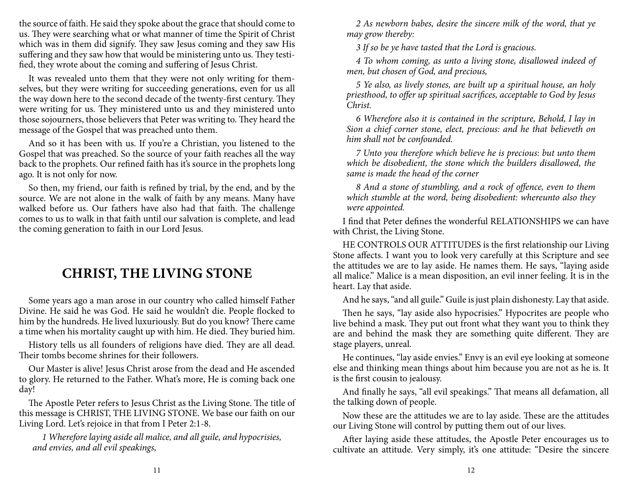the source of faith. He said they spoke about the grace that should come to us. They were searching what or what manner of time the Spirit of Christ which was in them did signify. They saw Jesus coming and they saw His suffering and they saw how that would be ministering unto us. They testified, they wrote about the coming and suffering of Jesus Christ.

It was revealed unto them that they were not only writing for themselves, but they were writing for succeeding generations, even for us all the way down here to the second decade of the twenty-first century. They were writing for us. They ministered unto us and they ministered unto those sojourners, those believers that Peter was writing to. They heard the message of the Gospel that was preached unto them.

And so it has been with us. If you're a Christian, you listened to the Gospel that was preached. So the source of your faith reaches all the way back to the prophets. Our refined faith has it's source in the prophets long ago. It is not only for now.

So then, my friend, our faith is refined by trial, by the end, and by the source. We are not alone in the walk of faith by any means. Many have walked before us. Our fathers have also had that faith. The challenge comes to us to walk in that faith until our salvation is complete, and lead the coming generation to faith in our Lord Jesus.

## **CHRIST, THE LIVING STONE**

Some years ago a man arose in our country who called himself Father Divine. He said he was God. He said he wouldn't die. People flocked to him by the hundreds. He lived luxuriously. But do you know? There came a time when his mortality caught up with him. He died. They buried him.

History tells us all founders of religions have died. They are all dead. Their tombs become shrines for their followers.

Our Master is alive! Jesus Christ arose from the dead and He ascended to glory. He returned to the Father. What's more, He is coming back one day!

The Apostle Peter refers to Jesus Christ as the Living Stone. The title of this message is CHRIST, THE LIVING STONE. We base our faith on our Living Lord. Let's rejoice in that from I Peter 2:1-8.

*1 Wherefore laying aside all malice, and all guile, and hypocrisies, and envies, and all evil speakings,*

*2 As newborn babes, desire the sincere milk of the word, that ye may grow thereby:*

*3 If so be ye have tasted that the Lord is gracious.*

*4 To whom coming, as unto a living stone, disallowed indeed of men, but chosen of God, and precious,*

*5 Ye also, as lively stones, are built up a spiritual house, an holy priesthood, to offer up spiritual sacrifices, acceptable to God by Jesus Christ.*

*6 Wherefore also it is contained in the scripture, Behold, I lay in Sion a chief corner stone, elect, precious: and he that believeth on him shall not be confounded.*

*7 Unto you therefore which believe he is precious: but unto them which be disobedient, the stone which the builders disallowed, the same is made the head of the corner*

*8 And a stone of stumbling, and a rock of offence, even to them which stumble at the word, being disobedient: whereunto also they were appointed.*

I find that Peter defines the wonderful RELATIONSHIPS we can have with Christ, the Living Stone.

HE CONTROLS OUR ATTITUDES is the first relationship our Living Stone affects. I want you to look very carefully at this Scripture and see the attitudes we are to lay aside. He names them. He says, "laying aside all malice." Malice is a mean disposition, an evil inner feeling. It is in the heart. Lay that aside.

And he says, "and all guile." Guile is just plain dishonesty. Lay that aside.

Then he says, "lay aside also hypocrisies." Hypocrites are people who live behind a mask. They put out front what they want you to think they are and behind the mask they are something quite different. They are stage players, unreal.

He continues, "lay aside envies." Envy is an evil eye looking at someone else and thinking mean things about him because you are not as he is. It is the first cousin to jealousy.

And finally he says, "all evil speakings." That means all defamation, all the talking down of people.

Now these are the attitudes we are to lay aside. These are the attitudes our Living Stone will control by putting them out of our lives.

After laying aside these attitudes, the Apostle Peter encourages us to cultivate an attitude. Very simply, it's one attitude: "Desire the sincere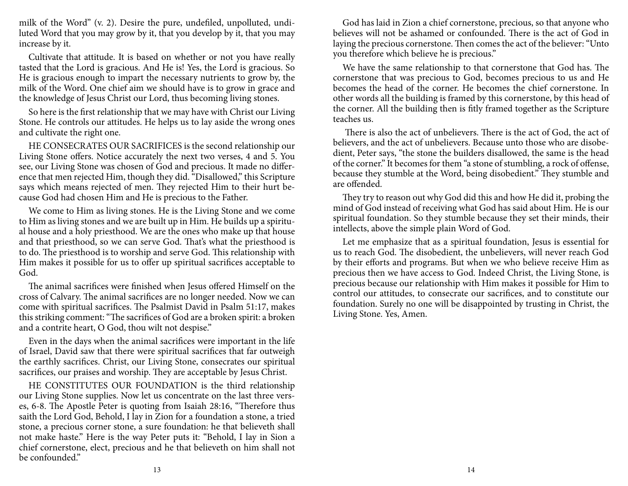milk of the Word" (v. 2). Desire the pure, undefiled, unpolluted, undiluted Word that you may grow by it, that you develop by it, that you may increase by it.

Cultivate that attitude. It is based on whether or not you have really tasted that the Lord is gracious. And He is! Yes, the Lord is gracious. So He is gracious enough to impart the necessary nutrients to grow by, the milk of the Word. One chief aim we should have is to grow in grace and the knowledge of Jesus Christ our Lord, thus becoming living stones.

So here is the first relationship that we may have with Christ our Living Stone. He controls our attitudes. He helps us to lay aside the wrong ones and cultivate the right one.

HE CONSECRATES OUR SACRIFICES is the second relationship our Living Stone offers. Notice accurately the next two verses, 4 and 5. You see, our Living Stone was chosen of God and precious. It made no difference that men rejected Him, though they did. "Disallowed," this Scripture says which means rejected of men. They rejected Him to their hurt because God had chosen Him and He is precious to the Father.

We come to Him as living stones. He is the Living Stone and we come to Him as living stones and we are built up in Him. He builds up a spiritual house and a holy priesthood. We are the ones who make up that house and that priesthood, so we can serve God. That's what the priesthood is to do. The priesthood is to worship and serve God. This relationship with Him makes it possible for us to offer up spiritual sacrifices acceptable to God.

The animal sacrifices were finished when Jesus offered Himself on the cross of Calvary. The animal sacrifices are no longer needed. Now we can come with spiritual sacrifices. The Psalmist David in Psalm 51:17, makes this striking comment: "The sacrifices of God are a broken spirit: a broken and a contrite heart, O God, thou wilt not despise."

Even in the days when the animal sacrifices were important in the life of Israel, David saw that there were spiritual sacrifices that far outweigh the earthly sacrifices. Christ, our Living Stone, consecrates our spiritual sacrifices, our praises and worship. They are acceptable by Jesus Christ.

HE CONSTITUTES OUR FOUNDATION is the third relationship our Living Stone supplies. Now let us concentrate on the last three verses, 6-8. The Apostle Peter is quoting from Isaiah 28:16, "Therefore thus saith the Lord God, Behold, I lay in Zion for a foundation a stone, a tried stone, a precious corner stone, a sure foundation: he that believeth shall not make haste." Here is the way Peter puts it: "Behold, I lay in Sion a chief cornerstone, elect, precious and he that believeth on him shall not be confounded."

God has laid in Zion a chief cornerstone, precious, so that anyone who believes will not be ashamed or confounded. There is the act of God in laying the precious cornerstone. Then comes the act of the believer: "Unto you therefore which believe he is precious."

We have the same relationship to that cornerstone that God has. The cornerstone that was precious to God, becomes precious to us and He becomes the head of the corner. He becomes the chief cornerstone. In other words all the building is framed by this cornerstone, by this head of the corner. All the building then is fitly framed together as the Scripture teaches us.

 There is also the act of unbelievers. There is the act of God, the act of believers, and the act of unbelievers. Because unto those who are disobedient, Peter says, "the stone the builders disallowed, the same is the head of the corner." It becomes for them "a stone of stumbling, a rock of offense, because they stumble at the Word, being disobedient." They stumble and are offended.

They try to reason out why God did this and how He did it, probing the mind of God instead of receiving what God has said about Him. He is our spiritual foundation. So they stumble because they set their minds, their intellects, above the simple plain Word of God.

Let me emphasize that as a spiritual foundation, Jesus is essential for us to reach God. The disobedient, the unbelievers, will never reach God by their efforts and programs. But when we who believe receive Him as precious then we have access to God. Indeed Christ, the Living Stone, is precious because our relationship with Him makes it possible for Him to control our attitudes, to consecrate our sacrifices, and to constitute our foundation. Surely no one will be disappointed by trusting in Christ, the Living Stone. Yes, Amen.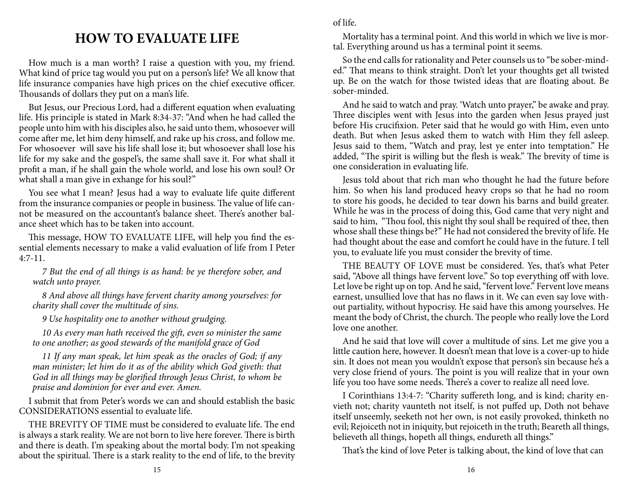## **HOW TO EVALUATE LIFE**

How much is a man worth? I raise a question with you, my friend. What kind of price tag would you put on a person's life? We all know that life insurance companies have high prices on the chief executive officer. Thousands of dollars they put on a man's life.

But Jesus, our Precious Lord, had a different equation when evaluating life. His principle is stated in Mark 8:34-37: "And when he had called the people unto him with his disciples also, he said unto them, whosoever will come after me, let him deny himself, and rake up his cross, and follow me. For whosoever will save his life shall lose it; but whosoever shall lose his life for my sake and the gospel's, the same shall save it. For what shall it profit a man, if he shall gain the whole world, and lose his own soul? Or what shall a man give in exhange for his soul?"

You see what I mean? Jesus had a way to evaluate life quite different from the insurance companies or people in business. The value of life cannot be measured on the accountant's balance sheet. There's another balance sheet which has to be taken into account.

This message, HOW TO EVALUATE LIFE, will help you find the essential elements necessary to make a valid evaluation of life from I Peter 4:7-11.

*7 But the end of all things is as hand: be ye therefore sober, and watch unto prayer.*

*8 And above all things have fervent charity among yourselves: for charity shall cover the multitude of sins.*

*9 Use hospitality one to another without grudging.* 

*10 As every man hath received the gift, even so minister the same to one another; as good stewards of the manifold grace of God*

*11 If any man speak, let him speak as the oracles of God; if any man minister; let him do it as of the ability which God giveth: that God in all things may be glorified through Jesus Christ, to whom be praise and dominion for ever and ever. Amen.*

I submit that from Peter's words we can and should establish the basic CONSIDERATIONS essential to evaluate life.

THE BREVITY OF TIME must be considered to evaluate life. The end is always a stark reality. We are not born to live here forever. There is birth and there is death. I'm speaking about the mortal body. I'm not speaking about the spiritual. There is a stark reality to the end of life, to the brevity of life.

Mortality has a terminal point. And this world in which we live is mortal. Everything around us has a terminal point it seems.

So the end calls for rationality and Peter counsels us to "be sober-minded." That means to think straight. Don't let your thoughts get all twisted up. Be on the watch for those twisted ideas that are floating about. Be sober-minded.

And he said to watch and pray. 'Watch unto prayer," be awake and pray. Three disciples went with Jesus into the garden when Jesus prayed just before His crucifixion. Peter said that he would go with Him, even unto death. But when Jesus asked them to watch with Him they fell asleep. Jesus said to them, "Watch and pray, lest ye enter into temptation." He added, "The spirit is willing but the flesh is weak." The brevity of time is one consideration in evaluating life.

Jesus told about that rich man who thought he had the future before him. So when his land produced heavy crops so that he had no room to store his goods, he decided to tear down his barns and build greater. While he was in the process of doing this, God came that very night and said to him, "Thou fool, this night thy soul shall be required of thee, then whose shall these things be?" He had not considered the brevity of life. He had thought about the ease and comfort he could have in the future. I tell you, to evaluate life you must consider the brevity of time.

THE BEAUTY OF LOVE must be considered. Yes, that's what Peter said, "Above all things have fervent love." So top everything off with love. Let love be right up on top. And he said, "fervent love." Fervent love means earnest, unsullied love that has no flaws in it. We can even say love without partiality, without hypocrisy. He said have this among yourselves. He meant the body of Christ, the church. The people who really love the Lord love one another.

And he said that love will cover a multitude of sins. Let me give you a little caution here, however. It doesn't mean that love is a cover-up to hide sin. It does not mean you wouldn't expose that person's sin because he's a very close friend of yours. The point is you will realize that in your own life you too have some needs. There's a cover to realize all need love.

I Corinthians 13:4-7: "Charity suffereth long, and is kind; charity envieth not; charity vaunteth not itself, is not puffed up, Doth not behave itself unseemly, seeketh not her own, is not easily provoked, thinketh no evil; Rejoiceth not in iniquity, but rejoiceth in the truth; Beareth all things, believeth all things, hopeth all things, endureth all things."

That's the kind of love Peter is talking about, the kind of love that can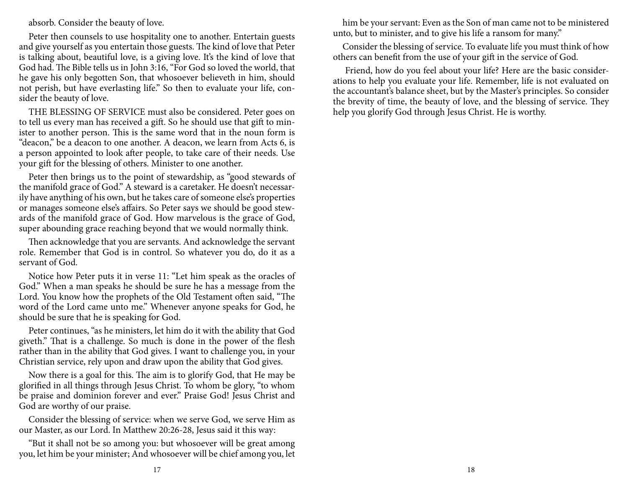absorb. Consider the beauty of love.

Peter then counsels to use hospitality one to another. Entertain guests and give yourself as you entertain those guests. The kind of love that Peter is talking about, beautiful love, is a giving love. It's the kind of love that God had. The Bible tells us in John 3:16, "For God so loved the world, that he gave his only begotten Son, that whosoever believeth in him, should not perish, but have everlasting life." So then to evaluate your life, consider the beauty of love.

THE BLESSING OF SERVICE must also be considered. Peter goes on to tell us every man has received a gift. So he should use that gift to minister to another person. This is the same word that in the noun form is "deacon," be a deacon to one another. A deacon, we learn from Acts 6, is a person appointed to look after people, to take care of their needs. Use your gift for the blessing of others. Minister to one another.

Peter then brings us to the point of stewardship, as "good stewards of the manifold grace of God." A steward is a caretaker. He doesn't necessarily have anything of his own, but he takes care of someone else's properties or manages someone else's affairs. So Peter says we should be good stewards of the manifold grace of God. How marvelous is the grace of God, super abounding grace reaching beyond that we would normally think.

Then acknowledge that you are servants. And acknowledge the servant role. Remember that God is in control. So whatever you do, do it as a servant of God.

Notice how Peter puts it in verse 11: "Let him speak as the oracles of God." When a man speaks he should be sure he has a message from the Lord. You know how the prophets of the Old Testament often said, "The word of the Lord came unto me." Whenever anyone speaks for God, he should be sure that he is speaking for God.

Peter continues, "as he ministers, let him do it with the ability that God giveth." That is a challenge. So much is done in the power of the flesh rather than in the ability that God gives. I want to challenge you, in your Christian service, rely upon and draw upon the ability that God gives.

Now there is a goal for this. The aim is to glorify God, that He may be glorified in all things through Jesus Christ. To whom be glory, "to whom be praise and dominion forever and ever." Praise God! Jesus Christ and God are worthy of our praise.

Consider the blessing of service: when we serve God, we serve Him as our Master, as our Lord. In Matthew 20:26-28, Jesus said it this way:

"But it shall not be so among you: but whosoever will be great among you, let him be your minister; And whosoever will be chief among you, let

him be your servant: Even as the Son of man came not to be ministered unto, but to minister, and to give his life a ransom for many."

Consider the blessing of service. To evaluate life you must think of how others can benefit from the use of your gift in the service of God.

 Friend, how do you feel about your life? Here are the basic considerations to help you evaluate your life. Remember, life is not evaluated on the accountant's balance sheet, but by the Master's principles. So consider the brevity of time, the beauty of love, and the blessing of service. They help you glorify God through Jesus Christ. He is worthy.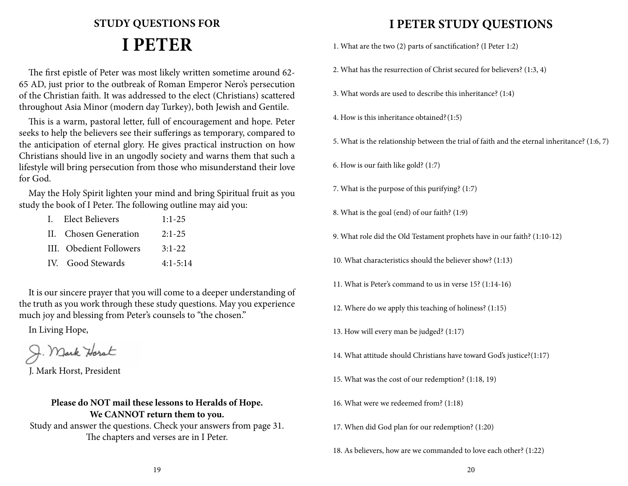# **STUDY QUESTIONS FOR I PETER**

The first epistle of Peter was most likely written sometime around 62- 65 AD, just prior to the outbreak of Roman Emperor Nero's persecution of the Christian faith. It was addressed to the elect (Christians) scattered throughout Asia Minor (modern day Turkey), both Jewish and Gentile.

This is a warm, pastoral letter, full of encouragement and hope. Peter seeks to help the believers see their sufferings as temporary, compared to the anticipation of eternal glory. He gives practical instruction on how Christians should live in an ungodly society and warns them that such a lifestyle will bring persecution from those who misunderstand their love for God.

May the Holy Spirit lighten your mind and bring Spiritual fruit as you study the book of I Peter. The following outline may aid you:

| I. Elect Believers      | $1:1-25$     |
|-------------------------|--------------|
| II. Chosen Generation   | $2:1-25$     |
| III. Obedient Followers | $3:1-22$     |
| IV. Good Stewards       | $4:1 - 5:14$ |

It is our sincere prayer that you will come to a deeper understanding of the truth as you work through these study questions. May you experience much joy and blessing from Peter's counsels to "the chosen."

In Living Hope,

J. Mark Horst

J. Mark Horst, President

#### **Please do NOT mail these lessons to Heralds of Hope. We CANNOT return them to you.**

Study and answer the questions. Check your answers from page 31. The chapters and verses are in I Peter.

## **I PETER STUDY QUESTIONS**

- 1. What are the two (2) parts of sanctification? (I Peter 1:2)
- 2. What has the resurrection of Christ secured for believers? (1:3, 4)
- 3. What words are used to describe this inheritance? (1:4)
- 4. How is this inheritance obtained?(1:5)
- 5. What is the relationship between the trial of faith and the eternal inheritance? (1:6, 7)
- 6. How is our faith like gold? (1:7)
- 7. What is the purpose of this purifying? (1:7)
- 8. What is the goal (end) of our faith? (1:9)
- 9. What role did the Old Testament prophets have in our faith? (1:10-12)
- 10. What characteristics should the believer show? (1:13)
- 11. What is Peter's command to us in verse 15? (1:14-16)
- 12. Where do we apply this teaching of holiness? (1:15)
- 13. How will every man be judged? (1:17)
- 14. What attitude should Christians have toward God's justice?(1:17)
- 15. What was the cost of our redemption? (1:18, 19)
- 16. What were we redeemed from? (1:18)
- 17. When did God plan for our redemption? (1:20)
- 18. As believers, how are we commanded to love each other? (1:22)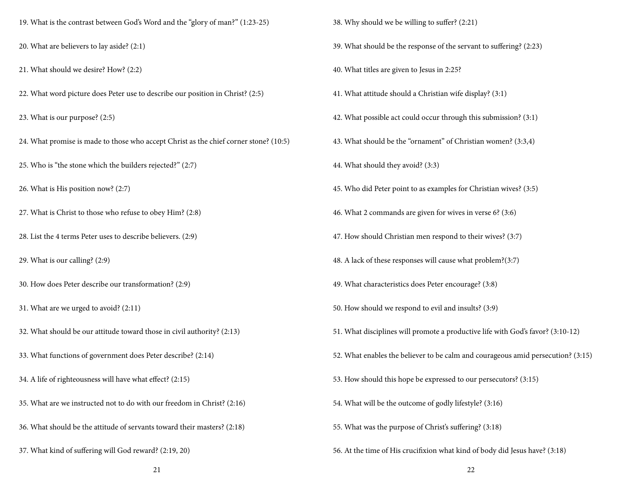- 19. What is the contrast between God's Word and the "glory of man?" (1:23-25)
- 20. What are believers to lay aside? (2:1)
- 21. What should we desire? How? (2:2)
- 22. What word picture does Peter use to describe our position in Christ? (2:5)
- 23. What is our purpose? (2:5)
- 24. What promise is made to those who accept Christ as the chief corner stone? (10:5)
- 25. Who is "the stone which the builders rejected?" (2:7)
- 26. What is His position now? (2:7)
- 27. What is Christ to those who refuse to obey Him? (2:8)
- 28. List the 4 terms Peter uses to describe believers. (2:9)
- 29. What is our calling? (2:9)
- 30. How does Peter describe our transformation? (2:9)
- 31. What are we urged to avoid? (2:11)
- 32. What should be our attitude toward those in civil authority? (2:13)
- 33. What functions of government does Peter describe? (2:14)
- 34. A life of righteousness will have what effect? (2:15)
- 35. What are we instructed not to do with our freedom in Christ? (2:16)
- 36. What should be the attitude of servants toward their masters? (2:18)
- 37. What kind of suffering will God reward? (2:19, 20)
- 38. Why should we be willing to suffer? (2:21)
- 39. What should be the response of the servant to suffering? (2:23)
- 40. What titles are given to Jesus in 2:25?
- 41. What attitude should a Christian wife display? (3:1)
- 42. What possible act could occur through this submission? (3:1)
- 43. What should be the "ornament" of Christian women? (3:3,4)
- 44. What should they avoid? (3:3)
- 45. Who did Peter point to as examples for Christian wives? (3:5)
- 46. What 2 commands are given for wives in verse 6? (3:6)
- 47. How should Christian men respond to their wives? (3:7)
- 48. A lack of these responses will cause what problem?(3:7)
- 49. What characteristics does Peter encourage? (3:8)
- 50. How should we respond to evil and insults? (3:9)
- 51. What disciplines will promote a productive life with God's favor? (3:10-12)
- 52. What enables the believer to be calm and courageous amid persecution? (3:15)
- 53. How should this hope be expressed to our persecutors? (3:15)
- 54. What will be the outcome of godly lifestyle? (3:16)
- 55. What was the purpose of Christ's suffering? (3:18)
- 56. At the time of His crucifixion what kind of body did Jesus have? (3:18)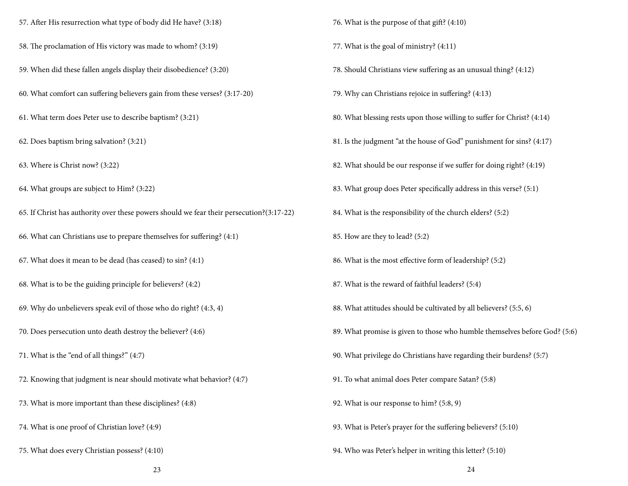- 57. After His resurrection what type of body did He have? (3:18)
- 58. The proclamation of His victory was made to whom? (3:19)
- 59. When did these fallen angels display their disobedience? (3:20)
- 60. What comfort can suffering believers gain from these verses? (3:17-20)
- 61. What term does Peter use to describe baptism? (3:21)
- 62. Does baptism bring salvation? (3:21)
- 63. Where is Christ now? (3:22)
- 64. What groups are subject to Him? (3:22)
- 65. If Christ has authority over these powers should we fear their persecution?(3:17-22)
- 66. What can Christians use to prepare themselves for suffering? (4:1)
- 67. What does it mean to be dead (has ceased) to sin? (4:1)
- 68. What is to be the guiding principle for believers? (4:2)
- 69. Why do unbelievers speak evil of those who do right? (4:3, 4)
- 70. Does persecution unto death destroy the believer? (4:6)
- 71. What is the "end of all things?" (4:7)
- 72. Knowing that judgment is near should motivate what behavior? (4:7)
- 73. What is more important than these disciplines? (4:8)
- 74. What is one proof of Christian love? (4:9)
- 75. What does every Christian possess? (4:10)
- 76. What is the purpose of that gift? (4:10)
- 77. What is the goal of ministry? (4:11)
- 78. Should Christians view suffering as an unusual thing? (4:12)
- 79. Why can Christians rejoice in suffering? (4:13)
- 80. What blessing rests upon those willing to suffer for Christ? (4:14)
- 81. Is the judgment "at the house of God" punishment for sins? (4:17)
- 82. What should be our response if we suffer for doing right? (4:19)
- 83. What group does Peter specifically address in this verse? (5:1)
- 84. What is the responsibility of the church elders? (5:2)
- 85. How are they to lead? (5:2)
- 86. What is the most effective form of leadership? (5:2)
- 87. What is the reward of faithful leaders? (5:4)
- 88. What attitudes should be cultivated by all believers? (5:5, 6)
- 89. What promise is given to those who humble themselves before God? (5:6)
- 90. What privilege do Christians have regarding their burdens? (5:7)
- 91. To what animal does Peter compare Satan? (5:8)
- 92. What is our response to him? (5:8, 9)
- 93. What is Peter's prayer for the suffering believers? (5:10)
- 94. Who was Peter's helper in writing this letter? (5:10)

23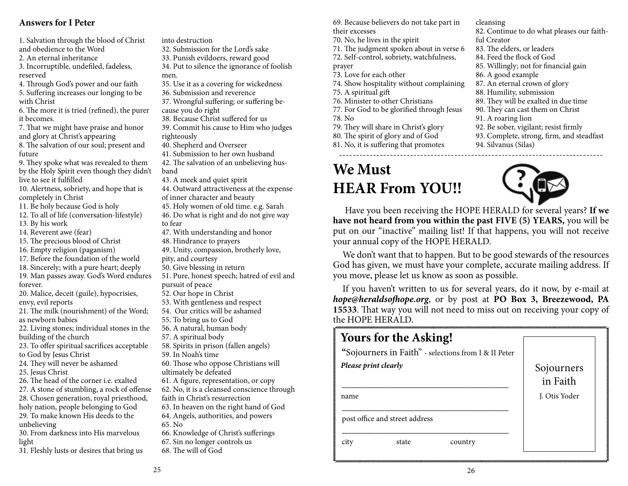#### **Answers for I Peter**

future

1. Salvation through the blood of Christ and obedience to the Word 2. An eternal inheritance 3. Incorruptible, undefiled, fadeless, reserved 4. Through God's power and our faith 5. Suffering increases our longing to be with Christ 6. The more it is tried (refined), the purer it becomes. 7. That we might have praise and honor and glory at Christ's appearing 8. The salvation of our soul; present and 9. They spoke what was revealed to them by the Holy Spirit even though they didn't live to see it fulfilled 10. Alertness, sobriety, and hope that is completely in Christ 11. Be holy because God is holy 12. To all of life (conversation-lifestyle) 13. By his work 14. Reverent awe (fear) 15. The precious blood of Christ 16. Empty religion (paganism) 17. Before the foundation of the world 18. Sincerely; with a pure heart; deeply 19. Man passes away. God's Word endures forever. 20. Malice, deceit (guile), hypocrisies, envy, evil reports 21. The milk (nourishment) of the Word; as newborn babies 22. Living stones; individual stones in the building of the church 23. To offer spiritual sacrifices acceptable to God by Jesus Christ 24. They will never be ashamed 25. Jesus Christ 26. The head of the corner i.e. exalted 27. A stone of stumbling, a rock of offense 28. Chosen generation, royal priesthood, holy nation, people belonging to God 29. To make known His deeds to the unbelieving 30. From darkness into His marvelous men. band to fear 65. No

31. Fleshly lusts or desires that bring us

light

into destruction

- 32. Submission for the Lord's sake
- 33. Punish evildoers, reward good
- 34. Put to silence the ignorance of foolish
- 35. Use it as a covering for wickedness
- 36. Submission and reverence
- 37. Wrongful suffering; or suffering because you do right
- 38. Because Christ suffered for us
- 39. Commit his cause to Him who judges righteously
- 40. Shepherd and Overseer
- 41. Submission to her own husband

42. The salvation of an unbelieving hus-

- 43. A meek and quiet spirit
- 44. Outward attractiveness at the expense of inner character and beauty
- 45. Holy women of old time. e.g. Sarah

46. Do what is right and do not give way

- 47. With understanding and honor
- 48. Hindrance to prayers
- 49. Unity, compassion, brotherly love,
- pity, and courtesy
- 50. Give blessing in return
- 51. Pure, honest speech; hatred of evil and pursuit of peace
- 52. Our hope in Christ
- 53. With gentleness and respect
- 54. Our critics will be ashamed
- 55. To bring us to God
- 56. A natural, human body
- 57. A spiritual body
- 58. Spirits in prison (fallen angels)
- 59. In Noah's time
- 60. Those who oppose Christians will ultimately be defeated
- 61. A figure, representation, or copy
- 62. No, it is a cleansed conscience through faith in Christ's resurrection
- 63. In heaven on the right hand of God
- 64. Angels, authorities, and powers
- 66. Knowledge of Christ's sufferings
- 67. Sin no longer controls us
- 68. The will of God

69. Because believers do not take part in their excesses

- 70. No, he lives in the spirit
- 71. The judgment spoken about in verse 6
- 72. Self-control, sobriety, watchfulness,
- prayer
- 73. Love for each other
- 74. Show hospitality without complaining
- 75. A spiritual gift
- 76. Minister to other Christians
- 77. For God to be glorified through Jesus
- 78. No
- 79. They will share in Christ's glory
- 80. The spirit of glory and of God
- 81. No, it is suffering that promotes

# **We Must HEAR From YOU!!**

cleansing

- 82. Continue to do what pleases our faith-
- ful Creator
- 83. The elders, or leaders
- 84. Feed the flock of God
- 85. Willingly; not for financial gain
- 86. A good example
- 87. An eternal crown of glory
- 88. Humility, submission
- 89. They will be exalted in due time
- 90. They can cast them on Christ
- 91. A roaring lion
- 92. Be sober, vigilant; resist firmly
- 93. Complete, strong, firm, and steadfast
- 94. Silvanus (Silas)



Have you been receiving the HOPE HERALD for several years? **If we have not heard from you within the past FIVE (5) YEARS,** you will be put on our "inactive" mailing list! If that happens, you will not receive your annual copy of the HOPE HERALD.

------------------------------------------------------------------------------

We don't want that to happen. But to be good stewards of the resources God has given, we must have your complete, accurate mailing address. If you move, please let us know as soon as possible.

If you haven't written to us for several years, do it now, by e-mail at *hope@heraldsofhope.org*, or by post at **PO Box 3, Breezewood, PA 15533**. That way you will not need to miss out on receiving your copy of the HOPE HERALD.

|                      | <b>Yours for the Asking!</b>   |                                                      |                        |
|----------------------|--------------------------------|------------------------------------------------------|------------------------|
|                      |                                | "Sojourners in Faith" - selections from I & II Peter |                        |
| Please print clearly |                                |                                                      | Sojourners<br>in Faith |
| name                 |                                |                                                      | I. Otis Yoder          |
|                      | post office and street address |                                                      |                        |
| city                 | state                          | country                                              |                        |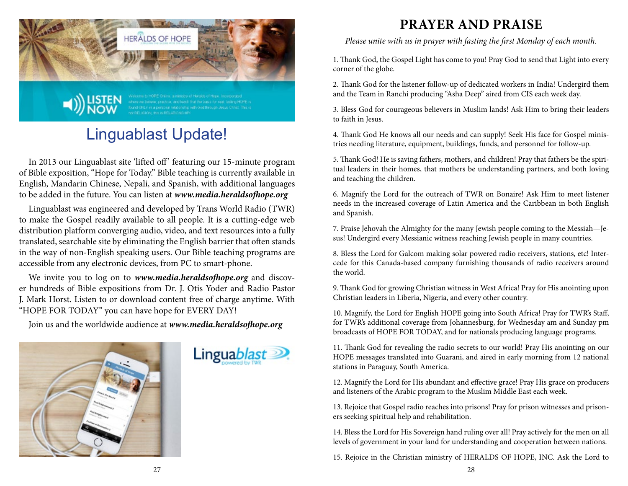

# Linguablast Update!

In 2013 our Linguablast site 'lifted off' featuring our 15-minute program of Bible exposition, "Hope for Today." Bible teaching is currently available in English, Mandarin Chinese, Nepali, and Spanish, with additional languages to be added in the future. You can listen at *www.media.heraldsofhope.org*

Linguablast was engineered and developed by Trans World Radio (TWR) to make the Gospel readily available to all people. It is a cutting-edge web distribution platform converging audio, video, and text resources into a fully translated, searchable site by eliminating the English barrier that often stands in the way of non-English speaking users. Our Bible teaching programs are accessible from any electronic devices, from PC to smart-phone.

We invite you to log on to *www.media.heraldsofhope.org* and discover hundreds of Bible expositions from Dr. J. Otis Yoder and Radio Pastor J. Mark Horst. Listen to or download content free of charge anytime. With "HOPE FOR TODAY" you can have hope for EVERY DAY!

Join us and the worldwide audience at *www.media.heraldsofhope.org*





## **PRAYER AND PRAISE**

*Please unite with us in prayer with fasting the first Monday of each month.*

1. Thank God, the Gospel Light has come to you! Pray God to send that Light into every corner of the globe.

2. Thank God for the listener follow-up of dedicated workers in India! Undergird them and the Team in Ranchi producing "Asha Deep" aired from CIS each week day.

3. Bless God for courageous believers in Muslim lands! Ask Him to bring their leaders to faith in Jesus.

4. Thank God He knows all our needs and can supply! Seek His face for Gospel ministries needing literature, equipment, buildings, funds, and personnel for follow-up.

5. Thank God! He is saving fathers, mothers, and children! Pray that fathers be the spiritual leaders in their homes, that mothers be understanding partners, and both loving and teaching the children.

6. Magnify the Lord for the outreach of TWR on Bonaire! Ask Him to meet listener needs in the increased coverage of Latin America and the Caribbean in both English and Spanish.

7. Praise Jehovah the Almighty for the many Jewish people coming to the Messiah—Jesus! Undergird every Messianic witness reaching Jewish people in many countries.

8. Bless the Lord for Galcom making solar powered radio receivers, stations, etc! Intercede for this Canada-based company furnishing thousands of radio receivers around the world.

9. Thank God for growing Christian witness in West Africa! Pray for His anointing upon Christian leaders in Liberia, Nigeria, and every other country.

10. Magnify, the Lord for English HOPE going into South Africa! Pray for TWR's Staff, for TWR's additional coverage from Johannesburg, for Wednesday am and Sunday pm broadcasts of HOPE FOR TODAY, and for nationals producing language programs.

11. Thank God for revealing the radio secrets to our world! Pray His anointing on our HOPE messages translated into Guarani, and aired in early morning from 12 national stations in Paraguay, South America.

12. Magnify the Lord for His abundant and effective grace! Pray His grace on producers and listeners of the Arabic program to the Muslim Middle East each week.

13. Rejoice that Gospel radio reaches into prisons! Pray for prison witnesses and prisoners seeking spiritual help and rehabilitation.

14. Bless the Lord for His Sovereign hand ruling over all! Pray actively for the men on all levels of government in your land for understanding and cooperation between nations.

15. Rejoice in the Christian ministry of HERALDS OF HOPE, INC. Ask the Lord to